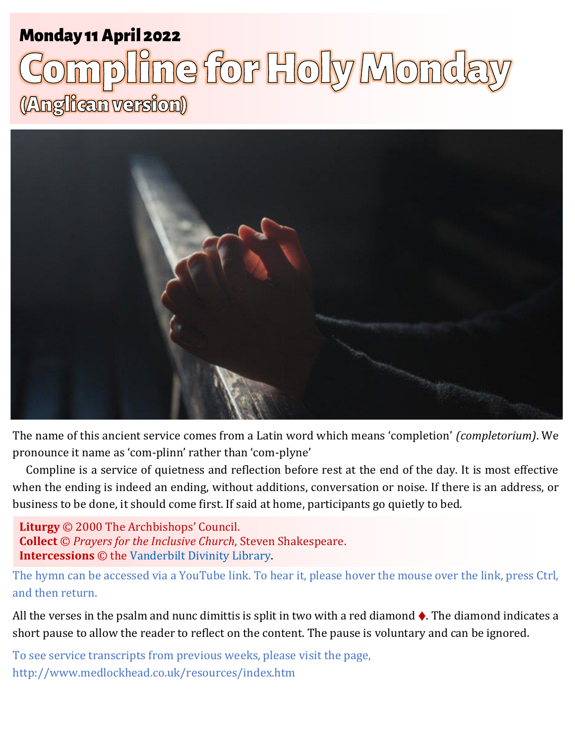# Monday 11 April 2022 1 **Holy Monday** Monday 11April 2022

# ne for Holy Monda (Anglican version)



The name of this ancient service comes from a Latin word which means 'completion' *(completorium)*. We pronounce it name as 'com-plinn' rather than 'com-plyne'

Compline is a service of quietness and reflection before rest at the end of the day. It is most effective when the ending is indeed an ending, without additions, conversation or noise. If there is an address, or business to be done, it should come first. If said at home, participants go quietly to bed.

**Liturgy** © 2000 The Archbishops' Council. **Collect** © *Prayers for the Inclusive Church*, Steven Shakespeare. **Intercessions** © the [Vanderbilt Divinity Library.](http://divinity.library.vanderbilt.edu/)

The hymn can be accessed via a YouTube link. To hear it, please hover the mouse over the link, press Ctrl, and then return.

All the verses in the psalm and nunc dimittis is split in two with a red diamond  $\lozenge$ . The diamond indicates a short pause to allow the reader to reflect on the content. The pause is voluntary and can be ignored.

To see service transcripts from previous weeks, please visit the page, <http://www.medlockhead.co.uk/resources/index.htm>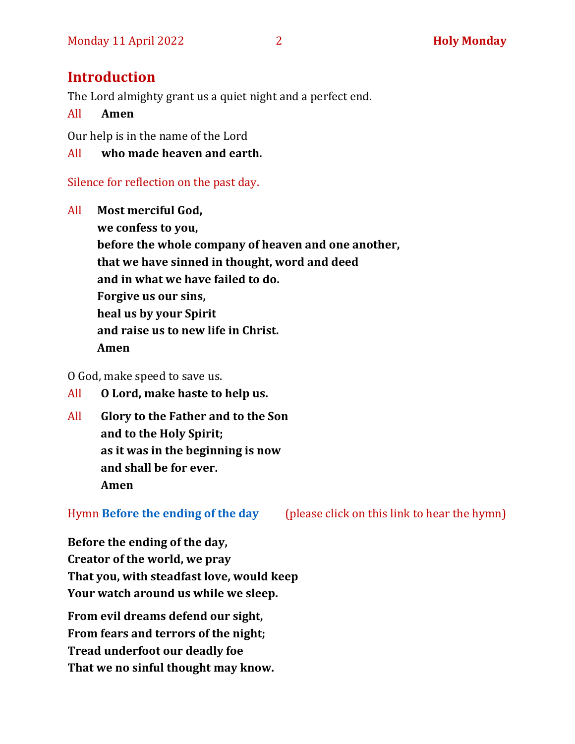# **Introduction**

The Lord almighty grant us a quiet night and a perfect end.

All **Amen**

Our help is in the name of the Lord

All **who made heaven and earth.**

# Silence for reflection on the past day.

All **Most merciful God, we confess to you, before the whole company of heaven and one another, that we have sinned in thought, word and deed and in what we have failed to do. Forgive us our sins, heal us by your Spirit and raise us to new life in Christ. Amen**

O God, make speed to save us.

- All **O Lord, make haste to help us.**
- All **Glory to the Father and to the Son and to the Holy Spirit; as it was in the beginning is now and shall be for ever. Amen**

Hymn **[Before the ending of the day](https://www.youtube.com/watch?v=3SiamHnQYmw)** (please click on this link to hear the hymn)

**Before the ending of the day, Creator of the world, we pray That you, with steadfast love, would keep Your watch around us while we sleep.**

**From evil dreams defend our sight, From fears and terrors of the night; Tread underfoot our deadly foe That we no sinful thought may know.**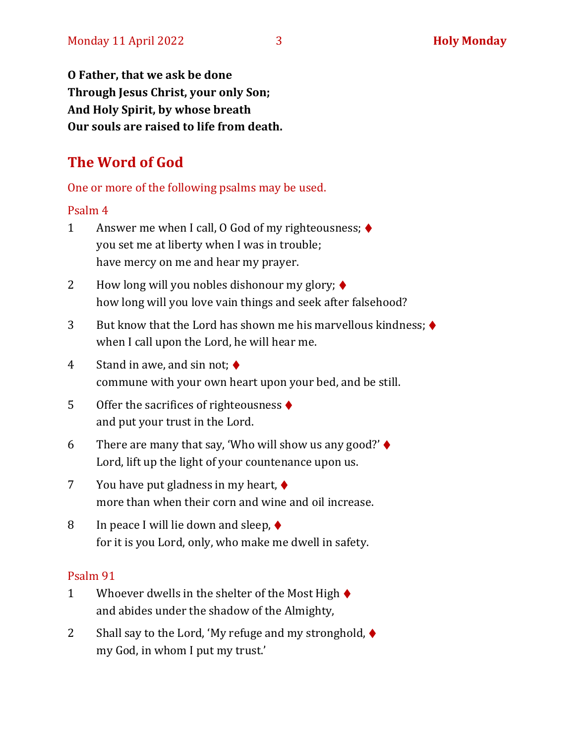**O Father, that we ask be done Through Jesus Christ, your only Son; And Holy Spirit, by whose breath Our souls are raised to life from death.**

# **The Word of God**

One or more of the following psalms may be used.

#### Psalm 4

- 1 Answer me when I call, O God of my righteousness; ♦ you set me at liberty when I was in trouble; have mercy on me and hear my prayer.
- 2 How long will you nobles dishonour my glory;  $\blacklozenge$ how long will you love vain things and seek after falsehood?
- 3 But know that the Lord has shown me his marvellous kindness; ♦ when I call upon the Lord, he will hear me.
- 4 Stand in awe, and sin not;  $\blacklozenge$ commune with your own heart upon your bed, and be still.
- 5 Offer the sacrifices of righteousness ♦ and put your trust in the Lord.
- 6 There are many that say, 'Who will show us any good?'  $\blacklozenge$ Lord, lift up the light of your countenance upon us.
- 7 You have put gladness in my heart, ♦ more than when their corn and wine and oil increase.
- 8 In peace I will lie down and sleep,  $\blacklozenge$ for it is you Lord, only, who make me dwell in safety.

#### Psalm 91

- 1 Whoever dwells in the shelter of the Most High  $\blacklozenge$ and abides under the shadow of the Almighty,
- 2 Shall say to the Lord, 'My refuge and my stronghold, ♦ my God, in whom I put my trust.'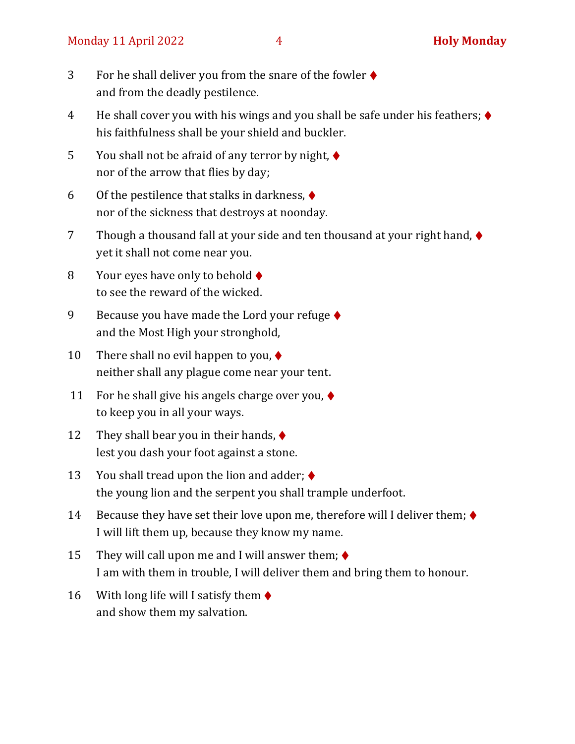- 3 For he shall deliver you from the snare of the fowler ♦ and from the deadly pestilence.
- 4 He shall cover you with his wings and you shall be safe under his feathers; ♦ his faithfulness shall be your shield and buckler.
- 5 You shall not be afraid of any terror by night,  $\blacklozenge$ nor of the arrow that flies by day;
- 6 Of the pestilence that stalks in darkness,  $\blacklozenge$ nor of the sickness that destroys at noonday.
- 7 Though a thousand fall at your side and ten thousand at your right hand, ♦ yet it shall not come near you.
- 8 Your eyes have only to behold  $\blacklozenge$ to see the reward of the wicked.
- 9 Because you have made the Lord your refuge  $\blacklozenge$ and the Most High your stronghold,
- 10 There shall no evil happen to you,  $\blacklozenge$ neither shall any plague come near your tent.
- 11 For he shall give his angels charge over you,  $\blacklozenge$ to keep you in all your ways.
- 12 They shall bear you in their hands,  $\blacklozenge$ lest you dash your foot against a stone.
- 13 You shall tread upon the lion and adder;  $\blacklozenge$ the young lion and the serpent you shall trample underfoot.
- 14 Because they have set their love upon me, therefore will I deliver them;  $\blacklozenge$ I will lift them up, because they know my name.
- 15 They will call upon me and I will answer them;  $\blacklozenge$ I am with them in trouble, I will deliver them and bring them to honour.
- 16 With long life will I satisfy them  $\blacklozenge$ and show them my salvation.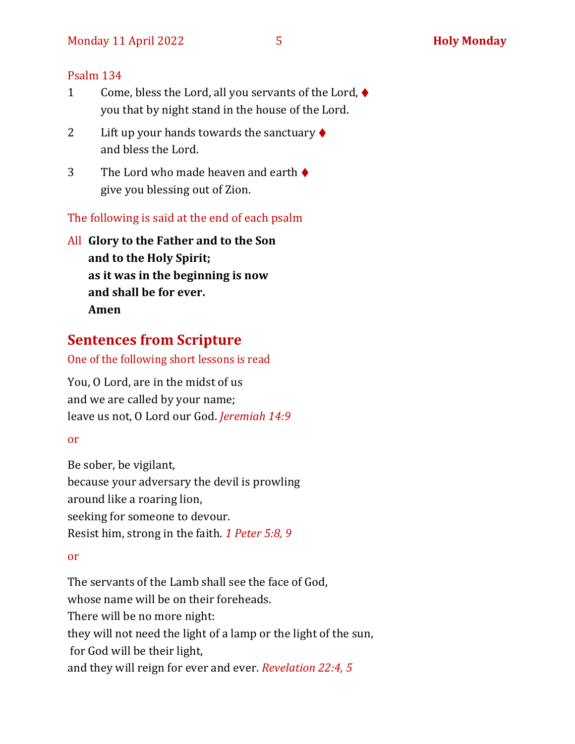#### Psalm 134

- 1 Come, bless the Lord, all you servants of the Lord, ♦ you that by night stand in the house of the Lord.
- 2 Lift up your hands towards the sanctuary  $\blacklozenge$ and bless the Lord.
- 3 The Lord who made heaven and earth  $\triangle$ give you blessing out of Zion.

The following is said at the end of each psalm

All **Glory to the Father and to the Son and to the Holy Spirit; as it was in the beginning is now and shall be for ever. Amen**

# **Sentences from Scripture**

#### One of the following short lessons is read

You, O Lord, are in the midst of us and we are called by your name; leave us not, O Lord our God. *Jeremiah 14:9*

#### or

Be sober, be vigilant, because your adversary the devil is prowling around like a roaring lion, seeking for someone to devour. Resist him, strong in the faith. *1 Peter 5:8, 9*

#### or

The servants of the Lamb shall see the face of God, whose name will be on their foreheads. There will be no more night: they will not need the light of a lamp or the light of the sun, for God will be their light, and they will reign for ever and ever. *Revelation 22:4, 5*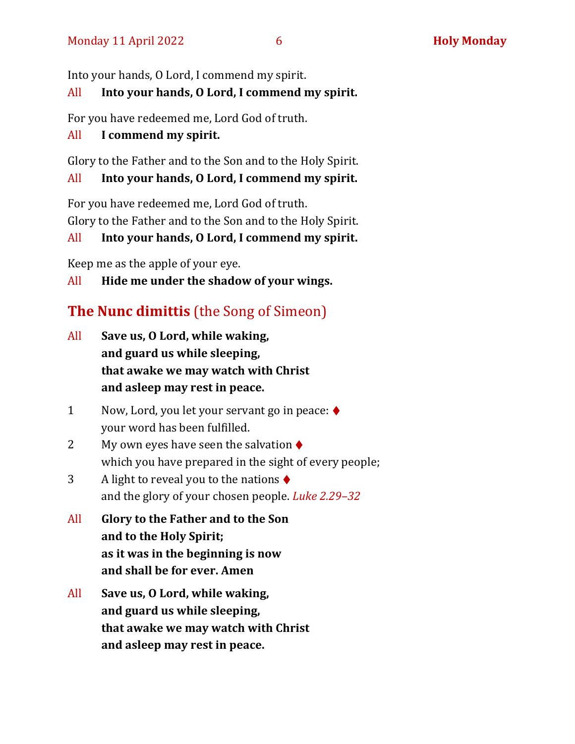Into your hands, O Lord, I commend my spirit.

# All **Into your hands, O Lord, I commend my spirit.**

For you have redeemed me, Lord God of truth.

# All **I commend my spirit.**

Glory to the Father and to the Son and to the Holy Spirit.

# All **Into your hands, O Lord, I commend my spirit.**

For you have redeemed me, Lord God of truth. Glory to the Father and to the Son and to the Holy Spirit.

# All **Into your hands, O Lord, I commend my spirit.**

Keep me as the apple of your eye.

All **Hide me under the shadow of your wings.**

# **The Nunc dimittis** (the Song of Simeon)

- All **Save us, O Lord, while waking, and guard us while sleeping, that awake we may watch with Christ and asleep may rest in peace.**
- 1 Now, Lord, you let your servant go in peace: ♦ your word has been fulfilled.
- 2 My own eyes have seen the salvation  $\triangle$ which you have prepared in the sight of every people;
- 3 A light to reveal you to the nations ♦ and the glory of your chosen people. *Luke 2.29–32*
- All **Glory to the Father and to the Son and to the Holy Spirit; as it was in the beginning is now and shall be for ever. Amen**
- All **Save us, O Lord, while waking, and guard us while sleeping, that awake we may watch with Christ and asleep may rest in peace.**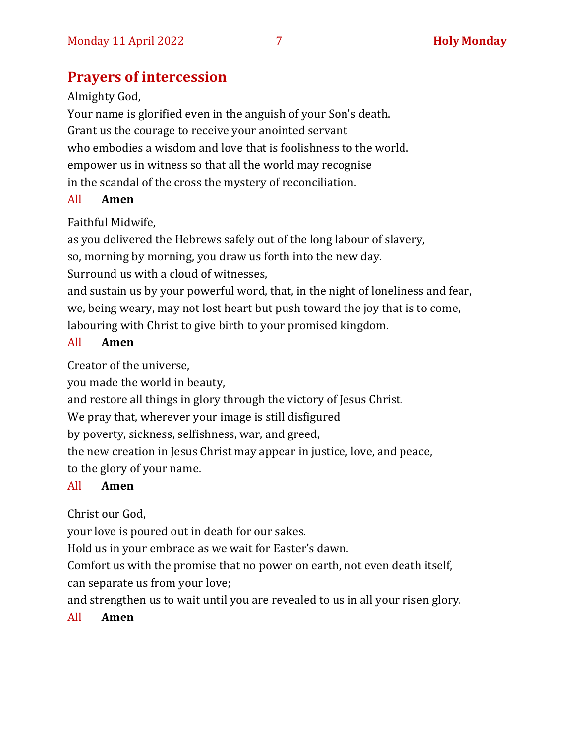# **Prayers of intercession**

Almighty God,

Your name is glorified even in the anguish of your Son's death. Grant us the courage to receive your anointed servant who embodies a wisdom and love that is foolishness to the world. empower us in witness so that all the world may recognise in the scandal of the cross the mystery of reconciliation.

### All **Amen**

Faithful Midwife,

as you delivered the Hebrews safely out of the long labour of slavery,

so, morning by morning, you draw us forth into the new day.

Surround us with a cloud of witnesses,

and sustain us by your powerful word, that, in the night of loneliness and fear, we, being weary, may not lost heart but push toward the joy that is to come, labouring with Christ to give birth to your promised kingdom.

### All **Amen**

Creator of the universe,

you made the world in beauty,

and restore all things in glory through the victory of Jesus Christ.

We pray that, wherever your image is still disfigured

by poverty, sickness, selfishness, war, and greed,

the new creation in Jesus Christ may appear in justice, love, and peace, to the glory of your name.

# All **Amen**

Christ our God,

your love is poured out in death for our sakes.

Hold us in your embrace as we wait for Easter's dawn.

Comfort us with the promise that no power on earth, not even death itself, can separate us from your love;

and strengthen us to wait until you are revealed to us in all your risen glory.

# All **Amen**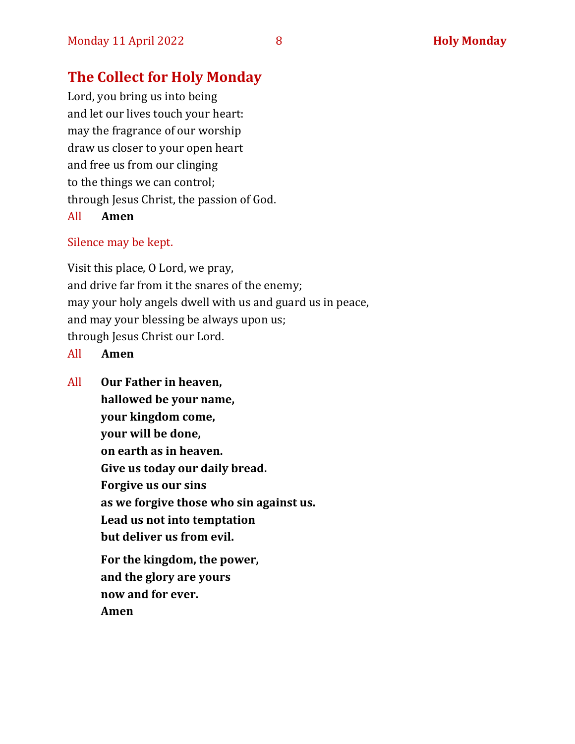# **The Collect for Holy Monday**

Lord, you bring us into being and let our lives touch your heart: may the fragrance of our worship draw us closer to your open heart and free us from our clinging to the things we can control; through Jesus Christ, the passion of God. All **Amen**

# Silence may be kept.

Visit this place, O Lord, we pray, and drive far from it the snares of the enemy; may your holy angels dwell with us and guard us in peace, and may your blessing be always upon us; through Jesus Christ our Lord.

All **Amen**

All **Our Father in heaven, hallowed be your name, your kingdom come, your will be done, on earth as in heaven. Give us today our daily bread. Forgive us our sins as we forgive those who sin against us. Lead us not into temptation but deliver us from evil. For the kingdom, the power, and the glory are yours now and for ever. Amen**